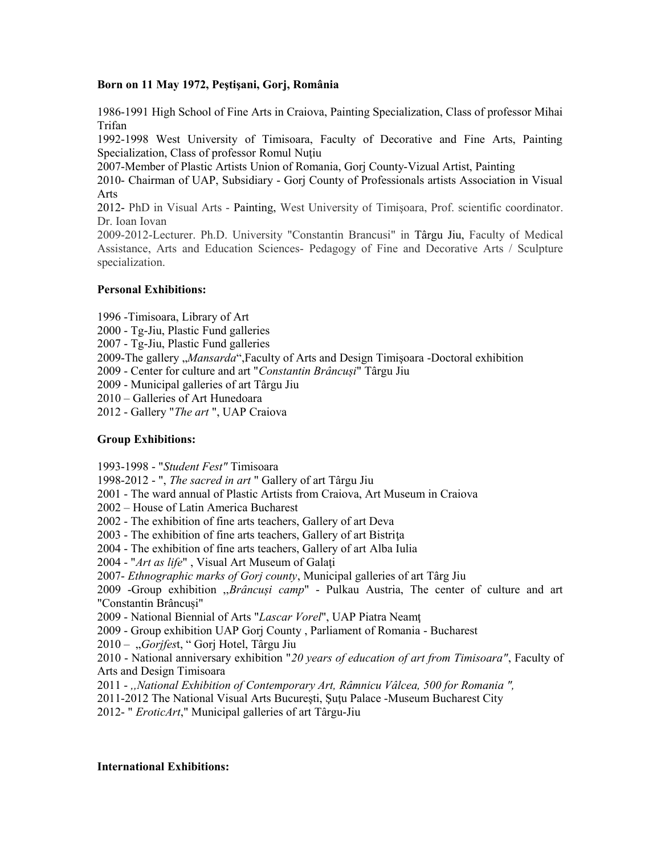### **Born on 11 May 1972, Peştişani, Gorj, România**

1986-1991 High School of Fine Arts in Craiova, Painting Specialization, Class of professor Mihai Trifan

1992-1998 West University of Timisoara, Faculty of Decorative and Fine Arts, Painting Specialization, Class of professor Romul Nuţiu

2007-Member of Plastic Artists Union of Romania, Gorj County-Vizual Artist, Painting

2010- Chairman of UAP, Subsidiary - Gorj County of Professionals artists Association in Visual Arts

2012- PhD in Visual Arts - Painting, West University of Timişoara, Prof. scientific coordinator. Dr. Ioan Iovan

2009-2012-Lecturer. Ph.D. University "Constantin Brancusi" in Târgu Jiu, Faculty of Medical Assistance, Arts and Education Sciences- Pedagogy of Fine and Decorative Arts / Sculpture specialization.

### **Personal Exhibitions:**

1996 -Timisoara, Library of Art

2000 - Tg-Jiu, Plastic Fund galleries

2007 - Tg-Jiu, Plastic Fund galleries

2009-The gallery "*Mansarda*",Faculty of Arts and Design Timişoara -Doctoral exhibition

2009 - Center for culture and art "*Constantin Brâncuși*" Târgu Jiu

2009 - Municipal galleries of art Târgu Jiu

2010 – Galleries of Art Hunedoara

2012 - Gallery "*The art* ", UAP Craiova

# **Group Exhibitions:**

1993-1998 - "*Student Fest"* Timisoara

1998-2012 - ", *The sacred in art* " Gallery of art Târgu Jiu

2001 - The ward annual of Plastic Artists from Craiova, Art Museum in Craiova

2002 – House of Latin America Bucharest

2002 - The exhibition of fine arts teachers, Gallery of art Deva

2003 - The exhibition of fine arts teachers, Gallery of art Bistrita

2004 - The exhibition of fine arts teachers, Gallery of art Alba Iulia

2004 - "*Art as life*" , Visual Art Museum of Galaţi

2007- *Ethnographic marks of Gorj county*, Municipal galleries of art Târg Jiu

2009 -Group exhibition ,,*Brâncuși camp*" - Pulkau Austria, The center of culture and art "Constantin Brâncuși"

2009 - National Biennial of Arts "*Lascar Vorel*", UAP Piatra Neamţ

2009 - Group exhibition UAP Gorj County , Parliament of Romania - Bucharest

2010 – "*Gorjfes*t, " Gorj Hotel, Târgu Jiu

2010 - National anniversary exhibition "*20 years of education of art from Timisoara"*, Faculty of Arts and Design Timisoara

2011 - *,,National Exhibition of Contemporary Art, Râmnicu Vâlcea, 500 for Romania ",*

2011-2012 The National Visual Arts Bucureşti, Şuţu Palace -Museum Bucharest City

2012- " *EroticArt*," Municipal galleries of art Târgu-Jiu

# **International Exhibitions:**